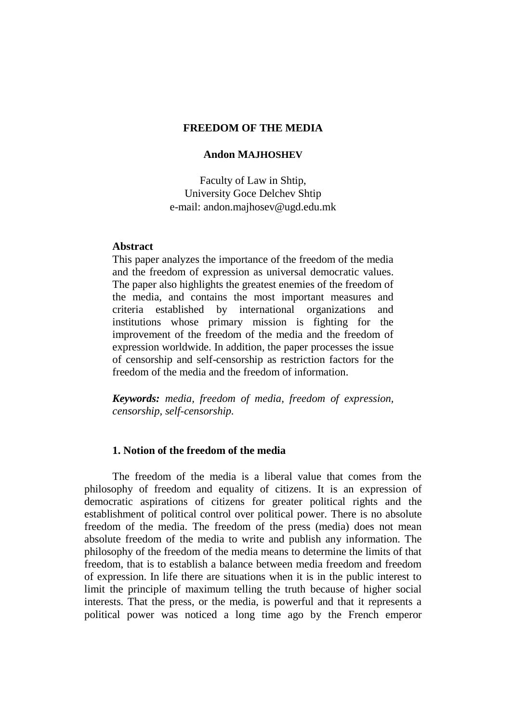#### **FREEDOM OF THE MEDIA**

#### **Andon MAJHOSHEV**

Faculty of Law in Shtip, University Goce Delchev Shtip e-mail: andon.majhosev@ugd.edu.mk

#### **Abstract**

This paper analyzes the importance of the freedom of the media and the freedom of expression as universal democratic values. The paper also highlights the greatest enemies of the freedom of the media, and contains the most important measures and criteria established by international organizations and institutions whose primary mission is fighting for the improvement of the freedom of the media and the freedom of expression worldwide. In addition, the paper processes the issue of censorship and self-censorship as restriction factors for the freedom of the media and the freedom of information.

*Keywords: media, freedom of media, freedom of expression, censorship, self-censorship.*

#### **1. Notion of the freedom of the media**

The freedom of the media is a liberal value that comes from the philosophy of freedom and equality of citizens. It is an expression of democratic aspirations of citizens for greater political rights and the establishment of political control over political power. There is no absolute freedom of the media. The freedom of the press (media) does not mean absolute freedom of the media to write and publish any information. The philosophy of the freedom of the media means to determine the limits of that freedom, that is to establish a balance between media freedom and freedom of expression. In life there are situations when it is in the public interest to limit the principle of maximum telling the truth because of higher social interests. That the press, or the media, is powerful and that it represents a political power was noticed a long time ago by the French emperor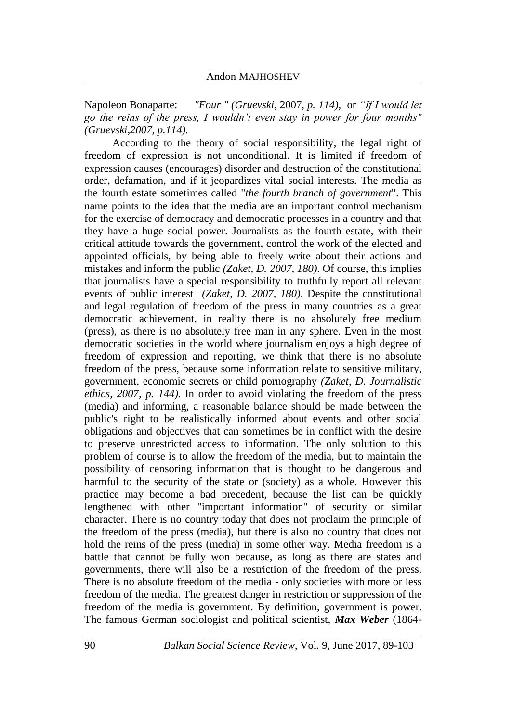Napoleon Bonaparte: *"Four " (Gruevski*, 2007, *p. 114),* or *"If I would let go the reins of the press, I wouldn't even stay in power for four months" (Gruevski,2007, p.114).*

According to the theory of social responsibility, the legal right of freedom of expression is not unconditional. It is limited if freedom of expression causes (encourages) disorder and destruction of the constitutional order, defamation, and if it jeopardizes vital social interests. The media as the fourth estate sometimes called "*the fourth branch of government*". This name points to the idea that the media are an important control mechanism for the exercise of democracy and democratic processes in a country and that they have a huge social power. Journalists as the fourth estate, with their critical attitude towards the government, control the work of the elected and appointed officials, by being able to freely write about their actions and mistakes and inform the public *(Zaket, D. 2007, 180)*. Of course, this implies that journalists have a special responsibility to truthfully report all relevant events of public interest *(Zaket, D. 2007, 180)*. Despite the constitutional and legal regulation of freedom of the press in many countries as a great democratic achievement, in reality there is no absolutely free medium (press), as there is no absolutely free man in any sphere. Even in the most democratic societies in the world where journalism enjoys a high degree of freedom of expression and reporting, we think that there is no absolute freedom of the press, because some information relate to sensitive military, government, economic secrets or child pornography *(Zaket, D. Journalistic ethics, 2007, p. 144).* In order to avoid violating the freedom of the press (media) and informing, a reasonable balance should be made between the public's right to be realistically informed about events and other social obligations and objectives that can sometimes be in conflict with the desire to preserve unrestricted access to information. The only solution to this problem of course is to allow the freedom of the media, but to maintain the possibility of censoring information that is thought to be dangerous and harmful to the security of the state or (society) as a whole. However this practice may become a bad precedent, because the list can be quickly lengthened with other "important information" of security or similar character. There is no country today that does not proclaim the principle of the freedom of the press (media), but there is also no country that does not hold the reins of the press (media) in some other way. Media freedom is a battle that cannot be fully won because, as long as there are states and governments, there will also be a restriction of the freedom of the press. There is no absolute freedom of the media - only societies with more or less freedom of the media. The greatest danger in restriction or suppression of the freedom of the media is government. By definition, government is power. The famous German sociologist and political scientist, *Max Weber* (1864-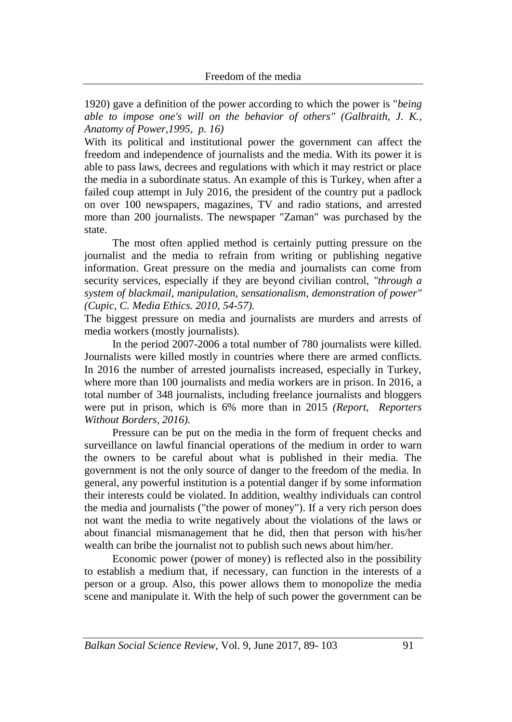1920) gave a definition of the power according to which the power is "*being able to impose one's will on the behavior of others" (Galbraith, J. K., Anatomy of Power,1995, p. 16)*

With its political and institutional power the government can affect the freedom and independence of journalists and the media. With its power it is able to pass laws, decrees and regulations with which it may restrict or place the media in a subordinate status. An example of this is Turkey, when after a failed coup attempt in July 2016, the president of the country put a padlock on over 100 newspapers, magazines, TV and radio stations, and arrested more than 200 journalists. The newspaper "Zaman" was purchased by the state.

The most often applied method is certainly putting pressure on the journalist and the media to refrain from writing or publishing negative information. Great pressure on the media and journalists can come from security services, especially if they are beyond civilian control, *"through a system of blackmail, manipulation, sensationalism, demonstration of power" (Cupic, C. Media Ethics. 2010, 54-57).*

The biggest pressure on media and journalists are murders and arrests of media workers (mostly journalists).

In the period 2007-2006 a total number of 780 journalists were killed. Journalists were killed mostly in countries where there are armed conflicts. In 2016 the number of arrested journalists increased, especially in Turkey, where more than 100 journalists and media workers are in prison. In 2016, a total number of 348 journalists, including freelance journalists and bloggers were put in prison, which is 6% more than in 2015 *(Report, Reporters Without Borders, 2016).*

Pressure can be put on the media in the form of frequent checks and surveillance on lawful financial operations of the medium in order to warn the owners to be careful about what is published in their media. The government is not the only source of danger to the freedom of the media. In general, any powerful institution is a potential danger if by some information their interests could be violated. In addition, wealthy individuals can control the media and journalists ("the power of money"). If a very rich person does not want the media to write negatively about the violations of the laws or about financial mismanagement that he did, then that person with his/her wealth can bribe the journalist not to publish such news about him/her.

Economic power (power of money) is reflected also in the possibility to establish a medium that, if necessary, can function in the interests of a person or a group. Also, this power allows them to monopolize the media scene and manipulate it. With the help of such power the government can be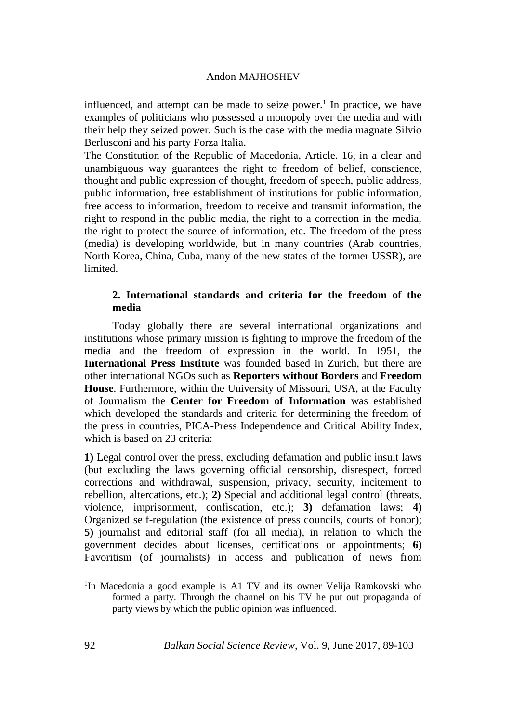influenced, and attempt can be made to seize power.<sup>1</sup> In practice, we have examples of politicians who possessed a monopoly over the media and with their help they seized power. Such is the case with the media magnate Silvio Berlusconi and his party Forza Italia.

The Constitution of the Republic of Macedonia, Article. 16, in a clear and unambiguous way guarantees the right to freedom of belief, conscience, thought and public expression of thought, freedom of speech, public address, public information, free establishment of institutions for public information, free access to information, freedom to receive and transmit information, the right to respond in the public media, the right to a correction in the media, the right to protect the source of information, etc. The freedom of the press (media) is developing worldwide, but in many countries (Arab countries, North Korea, China, Cuba, many of the new states of the former USSR), are limited.

### **2. International standards and criteria for the freedom of the media**

Today globally there are several international organizations and institutions whose primary mission is fighting to improve the freedom of the media and the freedom of expression in the world. In 1951, the **International Press Institute** was founded based in Zurich, but there are other international NGOs such as **Reporters without Borders** and **Freedom House**. Furthermore, within the University of Missouri, USA, at the Faculty of Journalism the **Center for Freedom of Information** was established which developed the standards and criteria for determining the freedom of the press in countries, PICA-Press Independence and Critical Ability Index, which is based on 23 criteria:

**1)** Legal control over the press, excluding defamation and public insult laws (but excluding the laws governing official censorship, disrespect, forced corrections and withdrawal, suspension, privacy, security, incitement to rebellion, altercations, etc.); **2)** Special and additional legal control (threats, violence, imprisonment, confiscation, etc.); **3)** defamation laws; **4)** Organized self-regulation (the existence of press councils, courts of honor); **5)** journalist and editorial staff (for all media), in relation to which the government decides about licenses, certifications or appointments; **6)** Favoritism (of journalists) in access and publication of news from

<sup>1</sup> <sup>1</sup>In Macedonia a good example is A1 TV and its owner Velija Ramkovski who formed a party. Through the channel on his TV he put out propaganda of party views by which the public opinion was influenced.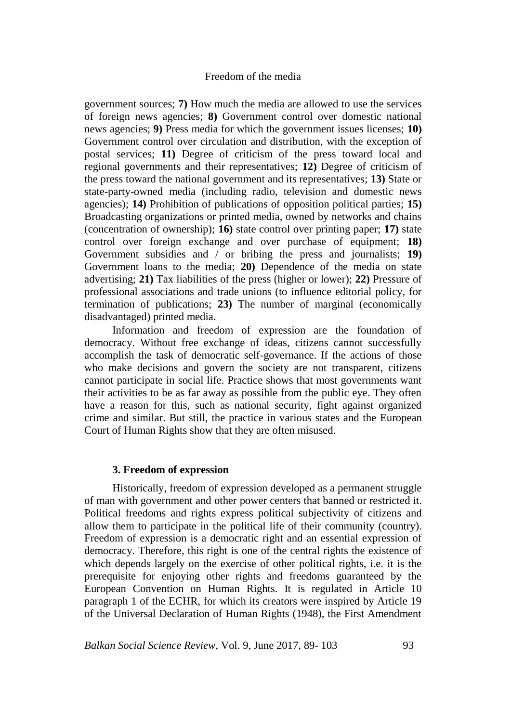government sources; **7)** How much the media are allowed to use the services of foreign news agencies; **8)** Government control over domestic national news agencies; **9)** Press media for which the government issues licenses; **10)** Government control over circulation and distribution, with the exception of postal services; **11)** Degree of criticism of the press toward local and regional governments and their representatives; **12)** Degree of criticism of the press toward the national government and its representatives; **13)** State or state-party-owned media (including radio, television and domestic news agencies); **14)** Prohibition of publications of opposition political parties; **15)** Broadcasting organizations or printed media, owned by networks and chains (concentration of ownership); **16)** state control over printing paper; **17)** state control over foreign exchange and over purchase of equipment; **18)** Government subsidies and / or bribing the press and journalists; **19)** Government loans to the media; **20)** Dependence of the media on state advertising; **21)** Tax liabilities of the press (higher or lower); **22)** Pressure of professional associations and trade unions (to influence editorial policy, for termination of publications; **23)** The number of marginal (economically disadvantaged) printed media.

Information and freedom of expression are the foundation of democracy. Without free exchange of ideas, citizens cannot successfully accomplish the task of democratic self-governance. If the actions of those who make decisions and govern the society are not transparent, citizens cannot participate in social life. Practice shows that most governments want their activities to be as far away as possible from the public eye. They often have a reason for this, such as national security, fight against organized crime and similar. But still, the practice in various states and the European Court of Human Rights show that they are often misused.

### **3. Freedom of expression**

Historically, freedom of expression developed as a permanent struggle of man with government and other power centers that banned or restricted it. Political freedoms and rights express political subjectivity of citizens and allow them to participate in the political life of their community (country). Freedom of expression is a democratic right and an essential expression of democracy. Therefore, this right is one of the central rights the existence of which depends largely on the exercise of other political rights, i.e. it is the prerequisite for enjoying other rights and freedoms guaranteed by the European Convention on Human Rights. It is regulated in Article 10 paragraph 1 of the ECHR, for which its creators were inspired by Article 19 of the Universal Declaration of Human Rights (1948), the First Amendment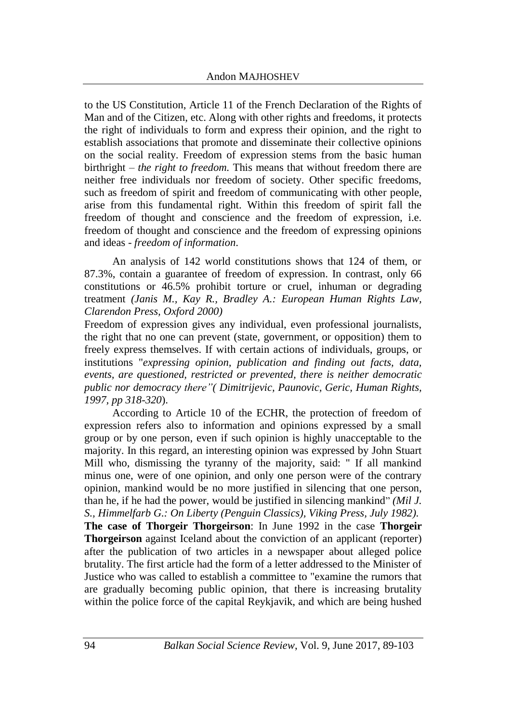to the US Constitution, Article 11 of the French Declaration of the Rights of Man and of the Citizen, etc. Along with other rights and freedoms, it protects the right of individuals to form and express their opinion, and the right to establish associations that promote and disseminate their collective opinions on the social reality. Freedom of expression stems from the basic human birthright – *the right to freedom.* This means that without freedom there are neither free individuals nor freedom of society. Other specific freedoms, such as freedom of spirit and freedom of communicating with other people, arise from this fundamental right. Within this freedom of spirit fall the freedom of thought and conscience and the freedom of expression, i.e. freedom of thought and conscience and the freedom of expressing opinions and ideas - *freedom of information*.

An analysis of 142 world constitutions shows that 124 of them, or 87.3%, contain a guarantee of freedom of expression. In contrast, only 66 constitutions or 46.5% prohibit torture or cruel, inhuman or degrading treatment *(Janis M., Kay R., Bradley A.: European Human Rights Law, Clarendon Press, Oxford 2000)*

Freedom of expression gives any individual, even professional journalists, the right that no one can prevent (state, government, or opposition) them to freely express themselves. If with certain actions of individuals, groups, or institutions "*expressing opinion, publication and finding out facts, data, events, are questioned, restricted or prevented, there is neither democratic public nor democracy there"( Dimitrijevic, Paunovic, Geric, Human Rights, 1997, pp 318-320*).

According to Article 10 of the ECHR, the protection of freedom of expression refers also to information and opinions expressed by a small group or by one person, even if such opinion is highly unacceptable to the majority. In this regard, an interesting opinion was expressed by John Stuart Mill who, dismissing the tyranny of the majority, said: " If all mankind minus one, were of one opinion, and only one person were of the contrary opinion, mankind would be no more justified in silencing that one person, than he, if he had the power, would be justified in silencing mankind" *(Mil J. S., Himmelfarb G.: On Liberty (Penguin Classics), Viking Press, July 1982).* **The case of Thorgeir Thorgeirson**: In June 1992 in the case **Thorgeir Thorgeirson** against Iceland about the conviction of an applicant (reporter) after the publication of two articles in a newspaper about alleged police

brutality. The first article had the form of a letter addressed to the Minister of Justice who was called to establish a committee to "examine the rumors that are gradually becoming public opinion, that there is increasing brutality within the police force of the capital Reykjavik, and which are being hushed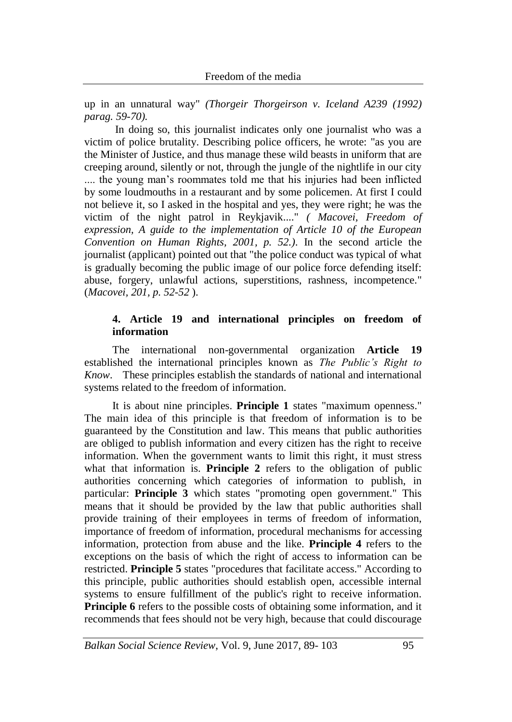up in an unnatural way" *(Thorgeir Thorgeirson v. Iceland A239 (1992) parag. 59-70).*

In doing so, this journalist indicates only one journalist who was a victim of police brutality. Describing police officers, he wrote: "as you are the Minister of Justice, and thus manage these wild beasts in uniform that are creeping around, silently or not, through the jungle of the nightlife in our city .... the young man's roommates told me that his injuries had been inflicted by some loudmouths in a restaurant and by some policemen. At first I could not believe it, so I asked in the hospital and yes, they were right; he was the victim of the night patrol in Reykjavik...." *( Macovei, Freedom of expression, A guide to the implementation of Article 10 of the European Convention on Human Rights, 2001, p. 52.)*. In the second article the journalist (applicant) pointed out that "the police conduct was typical of what is gradually becoming the public image of our police force defending itself: abuse, forgery, unlawful actions, superstitions, rashness, incompetence." (*Macovei, 201, p. 52-52* ).

### **4. Article 19 and international principles on freedom of information**

The international non-governmental organization **Article 19** established the international principles known as *The Public's Right to Know*. These principles establish the standards of national and international systems related to the freedom of information.

It is about nine principles. **Principle 1** states "maximum openness." The main idea of this principle is that freedom of information is to be guaranteed by the Constitution and law. This means that public authorities are obliged to publish information and every citizen has the right to receive information. When the government wants to limit this right, it must stress what that information is. **Principle 2** refers to the obligation of public authorities concerning which categories of information to publish, in particular: **Principle 3** which states "promoting open government." This means that it should be provided by the law that public authorities shall provide training of their employees in terms of freedom of information, importance of freedom of information, procedural mechanisms for accessing information, protection from abuse and the like. **Principle 4** refers to the exceptions on the basis of which the right of access to information can be restricted. **Principle 5** states "procedures that facilitate access." According to this principle, public authorities should establish open, accessible internal systems to ensure fulfillment of the public's right to receive information. **Principle 6** refers to the possible costs of obtaining some information, and it recommends that fees should not be very high, because that could discourage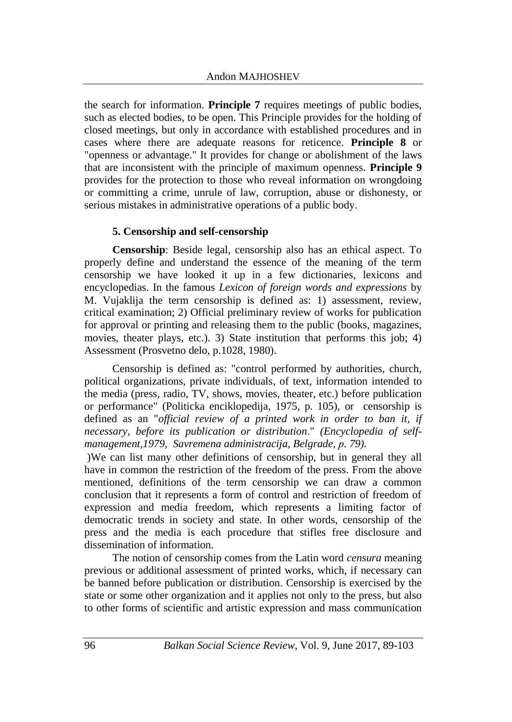the search for information. **Principle 7** requires meetings of public bodies, such as elected bodies, to be open. This Principle provides for the holding of closed meetings, but only in accordance with established procedures and in cases where there are adequate reasons for reticence. **Principle 8** or "openness or advantage." It provides for change or abolishment of the laws that are inconsistent with the principle of maximum openness. **Principle 9** provides for the protection to those who reveal information on wrongdoing or committing a crime, unrule of law, corruption, abuse or dishonesty, or serious mistakes in administrative operations of a public body.

### **5. Censorship and self-censorship**

**Censorship**: Beside legal, censorship also has an ethical aspect. To properly define and understand the essence of the meaning of the term censorship we have looked it up in a few dictionaries, lexicons and encyclopedias. In the famous *Lexicon of foreign words and expressions* by M. Vujaklija the term censorship is defined as: 1) assessment, review, critical examination; 2) Official preliminary review of works for publication for approval or printing and releasing them to the public (books, magazines, movies, theater plays, etc.). 3) State institution that performs this job; 4) Assessment (Prosvetno delo, p.1028, 1980).

Censorship is defined as: "control performed by authorities, church, political organizations, private individuals, of text, information intended to the media (press, radio, TV, shows, movies, theater, etc.) before publication or performance" (Politicka enciklopedija, 1975, p. 105), or censorship is defined as an "*official review of a printed work in order to ban it, if necessary, before its publication or distribution*." *(Encyclopedia of selfmanagement,1979, Savremena administracija, Belgrade, р. 79).*

)We can list many other definitions of censorship, but in general they all have in common the restriction of the freedom of the press. From the above mentioned, definitions of the term censorship we can draw a common conclusion that it represents a form of control and restriction of freedom of expression and media freedom, which represents a limiting factor of democratic trends in society and state. In other words, censorship of the press and the media is each procedure that stifles free disclosure and dissemination of information.

The notion of censorship comes from the Latin word *censura* meaning previous or additional assessment of printed works, which, if necessary can be banned before publication or distribution. Censorship is exercised by the state or some other organization and it applies not only to the press, but also to other forms of scientific and artistic expression and mass communication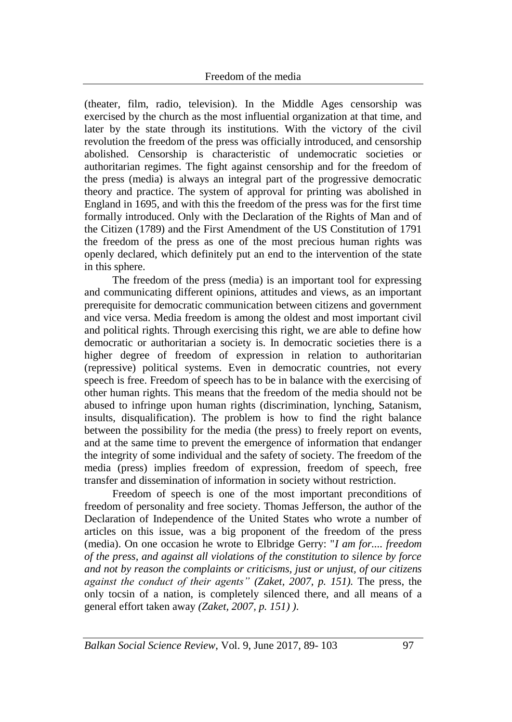(theater, film, radio, television). In the Middle Ages censorship was exercised by the church as the most influential organization at that time, and later by the state through its institutions. With the victory of the civil revolution the freedom of the press was officially introduced, and censorship abolished. Censorship is characteristic of undemocratic societies or authoritarian regimes. The fight against censorship and for the freedom of the press (media) is always an integral part of the progressive democratic theory and practice. The system of approval for printing was abolished in England in 1695, and with this the freedom of the press was for the first time formally introduced. Only with the Declaration of the Rights of Man and of the Citizen (1789) and the First Amendment of the US Constitution of 1791 the freedom of the press as one of the most precious human rights was openly declared, which definitely put an end to the intervention of the state in this sphere.

The freedom of the press (media) is an important tool for expressing and communicating different opinions, attitudes and views, as an important prerequisite for democratic communication between citizens and government and vice versa. Media freedom is among the oldest and most important civil and political rights. Through exercising this right, we are able to define how democratic or authoritarian a society is. In democratic societies there is a higher degree of freedom of expression in relation to authoritarian (repressive) political systems. Even in democratic countries, not every speech is free. Freedom of speech has to be in balance with the exercising of other human rights. This means that the freedom of the media should not be abused to infringe upon human rights (discrimination, lynching, Satanism, insults, disqualification). The problem is how to find the right balance between the possibility for the media (the press) to freely report on events, and at the same time to prevent the emergence of information that endanger the integrity of some individual and the safety of society. The freedom of the media (press) implies freedom of expression, freedom of speech, free transfer and dissemination of information in society without restriction.

Freedom of speech is one of the most important preconditions of freedom of personality and free society. Thomas Jefferson, the author of the Declaration of Independence of the United States who wrote a number of articles on this issue, was a big proponent of the freedom of the press (media). On one occasion he wrote to Elbridge Gerry: "*I am for.... freedom of the press, and against all violations of the constitution to silence by force and not by reason the complaints or criticisms, just or unjust, of our citizens against the conduct of their agents" (Zaket, 2007, p. 151).* The press, the only tocsin of a nation, is completely silenced there, and all means of a general effort taken away *(Zaket, 2007, p. 151) )*.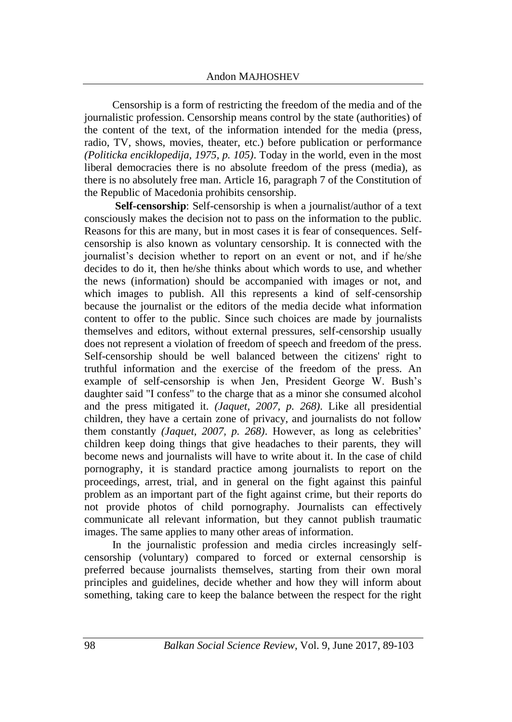Censorship is a form of restricting the freedom of the media and of the journalistic profession. Censorship means control by the state (authorities) of the content of the text, of the information intended for the media (press, radio, TV, shows, movies, theater, etc.) before publication or performance *(Politicka enciklopedija, 1975, p. 105)*. Today in the world, even in the most liberal democracies there is no absolute freedom of the press (media), as there is no absolutely free man. Article 16, paragraph 7 of the Constitution of the Republic of Macedonia prohibits censorship.

**Self-censorship**: Self-censorship is when a journalist/author of a text consciously makes the decision not to pass on the information to the public. Reasons for this are many, but in most cases it is fear of consequences. Selfcensorship is also known as voluntary censorship. It is connected with the journalist's decision whether to report on an event or not, and if he/she decides to do it, then he/she thinks about which words to use, and whether the news (information) should be accompanied with images or not, and which images to publish. All this represents a kind of self-censorship because the journalist or the editors of the media decide what information content to offer to the public. Since such choices are made by journalists themselves and editors, without external pressures, self-censorship usually does not represent a violation of freedom of speech and freedom of the press. Self-censorship should be well balanced between the citizens' right to truthful information and the exercise of the freedom of the press. An example of self-censorship is when Jen, President George W. Bush's daughter said "I confess" to the charge that as a minor she consumed alcohol and the press mitigated it. *(Jaquet, 2007, p. 268)*. Like all presidential children, they have a certain zone of privacy, and journalists do not follow them constantly *(Jaquet, 2007, p. 268)*. However, as long as celebrities' children keep doing things that give headaches to their parents, they will become news and journalists will have to write about it. In the case of child pornography, it is standard practice among journalists to report on the proceedings, arrest, trial, and in general on the fight against this painful problem as an important part of the fight against crime, but their reports do not provide photos of child pornography. Journalists can effectively communicate all relevant information, but they cannot publish traumatic images. The same applies to many other areas of information.

In the journalistic profession and media circles increasingly selfcensorship (voluntary) compared to forced or external censorship is preferred because journalists themselves, starting from their own moral principles and guidelines, decide whether and how they will inform about something, taking care to keep the balance between the respect for the right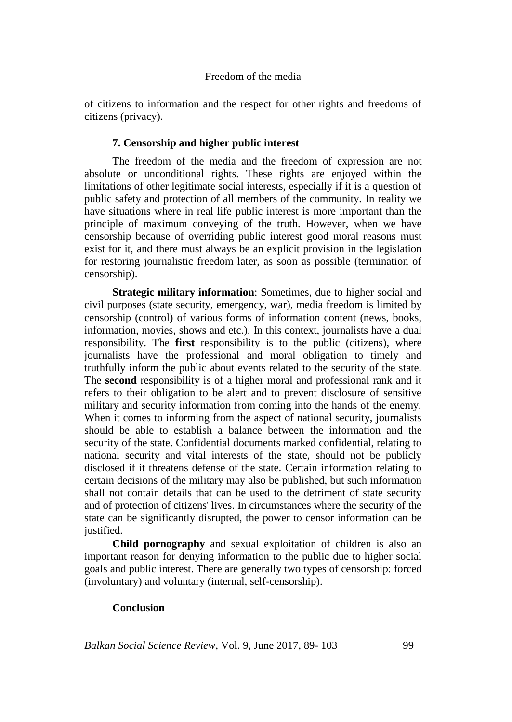of citizens to information and the respect for other rights and freedoms of citizens (privacy).

# **7. Censorship and higher public interest**

The freedom of the media and the freedom of expression are not absolute or unconditional rights. These rights are enjoyed within the limitations of other legitimate social interests, especially if it is a question of public safety and protection of all members of the community. In reality we have situations where in real life public interest is more important than the principle of maximum conveying of the truth. However, when we have censorship because of overriding public interest good moral reasons must exist for it, and there must always be an explicit provision in the legislation for restoring journalistic freedom later, as soon as possible (termination of censorship).

**Strategic military information**: Sometimes, due to higher social and civil purposes (state security, emergency, war), media freedom is limited by censorship (control) of various forms of information content (news, books, information, movies, shows and etc.). In this context, journalists have a dual responsibility. The **first** responsibility is to the public (citizens), where journalists have the professional and moral obligation to timely and truthfully inform the public about events related to the security of the state. The **second** responsibility is of a higher moral and professional rank and it refers to their obligation to be alert and to prevent disclosure of sensitive military and security information from coming into the hands of the enemy. When it comes to informing from the aspect of national security, journalists should be able to establish a balance between the information and the security of the state. Confidential documents marked confidential, relating to national security and vital interests of the state, should not be publicly disclosed if it threatens defense of the state. Certain information relating to certain decisions of the military may also be published, but such information shall not contain details that can be used to the detriment of state security and of protection of citizens' lives. In circumstances where the security of the state can be significantly disrupted, the power to censor information can be justified.

**Child pornography** and sexual exploitation of children is also an important reason for denying information to the public due to higher social goals and public interest. There are generally two types of censorship: forced (involuntary) and voluntary (internal, self-censorship).

# **Conclusion**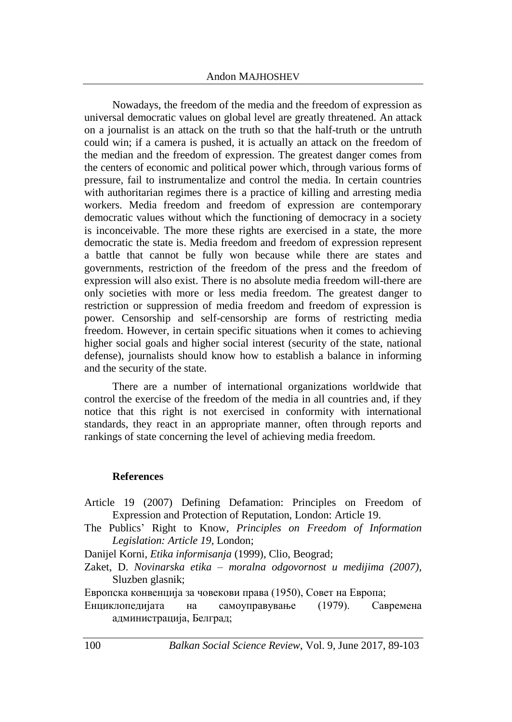Nowadays, the freedom of the media and the freedom of expression as universal democratic values on global level are greatly threatened. An attack on a journalist is an attack on the truth so that the half-truth or the untruth could win; if a camera is pushed, it is actually an attack on the freedom of the median and the freedom of expression. The greatest danger comes from the centers of economic and political power which, through various forms of pressure, fail to instrumentalize and control the media. In certain countries with authoritarian regimes there is a practice of killing and arresting media workers. Media freedom and freedom of expression are contemporary democratic values without which the functioning of democracy in a society is inconceivable. The more these rights are exercised in a state, the more democratic the state is. Media freedom and freedom of expression represent a battle that cannot be fully won because while there are states and governments, restriction of the freedom of the press and the freedom of expression will also exist. There is no absolute media freedom will-there are only societies with more or less media freedom. The greatest danger to restriction or suppression of media freedom and freedom of expression is power. Censorship and self-censorship are forms of restricting media freedom. However, in certain specific situations when it comes to achieving higher social goals and higher social interest (security of the state, national defense), journalists should know how to establish a balance in informing and the security of the state.

There are a number of international organizations worldwide that control the exercise of the freedom of the media in all countries and, if they notice that this right is not exercised in conformity with international standards, they react in an appropriate manner, often through reports and rankings of state concerning the level of achieving media freedom.

### **References**

- Article 19 (2007) Defining Defamation: Principles on Freedom of Expression and Protection of Reputation, London: Article 19.
- The Publics' Right to Know, *Principles on Freedom of Information Legislation: Article 19,* London;

Danijel Korni, *Etika informisanja* (1999), Clio, Beograd;

Zaket, D. *Novinarska etika – moralna odgovornost u medijima (2007)*, Sluzben glasnik;

Европска конвенција за човекови права (1950), Совет на Европа;

Енциклопедијата на самоуправување (1979). Савремена администрација, Белград;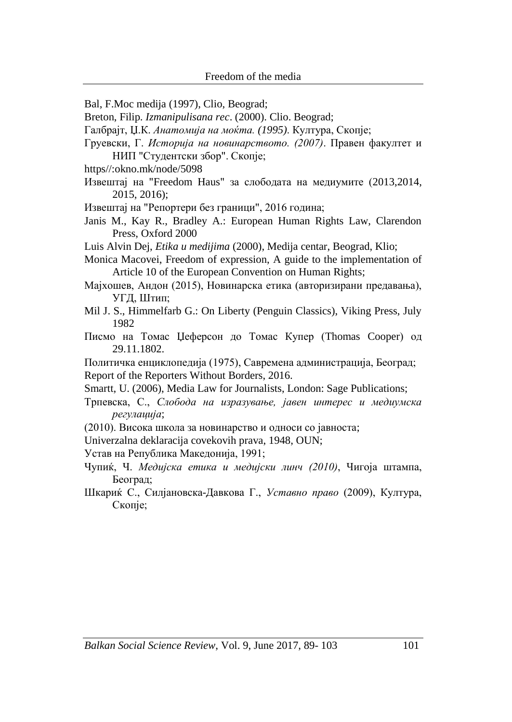- Bal, F.Moc medija (1997), Clio, Beograd;
- Breton, Filip. *Izmanipulisana rec*. (2000). Clio. Beograd;
- Галбрајт, Џ.К. *Анатомија на моќта. (1995)*. Култура, Скопје;
- Груевски, Г. *Историја на новинарството. (2007)*. Правен факултет и НИП "Студентски збор". Скопје;
- https//:okno.mk/node/5098
- Извештај на "Freedom Haus" за слободата на медиумите (2013,2014, 2015, 2016);
- Извештај на "Репортери без граници", 2016 година;
- Janis M., Kay R., Bradley A.: European Human Rights Law, Clarendon Press, Oxford 2000
- Luis Alvin Dej, *Etika u medijima* (2000), Medija centar, Beograd, Klio;
- Monica Macovei, Freedom of expression, A guide to the implementation of Article 10 of the European Convention on Human Rights;
- Мајхошев, Андон (2015), Новинарска етика (авторизирани предавања), УГД, Штип;
- Mil J. S., Himmelfarb G.: On Liberty (Penguin Classics), Viking Press, July 1982
- Писмо на Томас Џеферсон до Томас Купер (Thomas Cooper) од 29.11.1802.
- Политичка енциклопедија (1975), Савремена администрација, Београд; Report of the Reporters Without Borders, 2016.
- Smartt, U. (2006), Media Law for Journalists, London: Sage Publications;
- Трпевска, С., *Слобода на изразување, јавен интерес и медиумска регулација*;
- (2010). Висока школа за новинарство и односи со јавноста;
- Univerzalna deklaracija covekovih prava, 1948, OUN;
- Устав на Република Македонија, 1991;
- Чупиќ, Ч. *Медијска етика и медијски линч (2010)*, Чигоја штампа, Београд;
- Шкариќ С., Силјановска-Давкова Г., *Уставно право* (2009), Култура, Скопје;